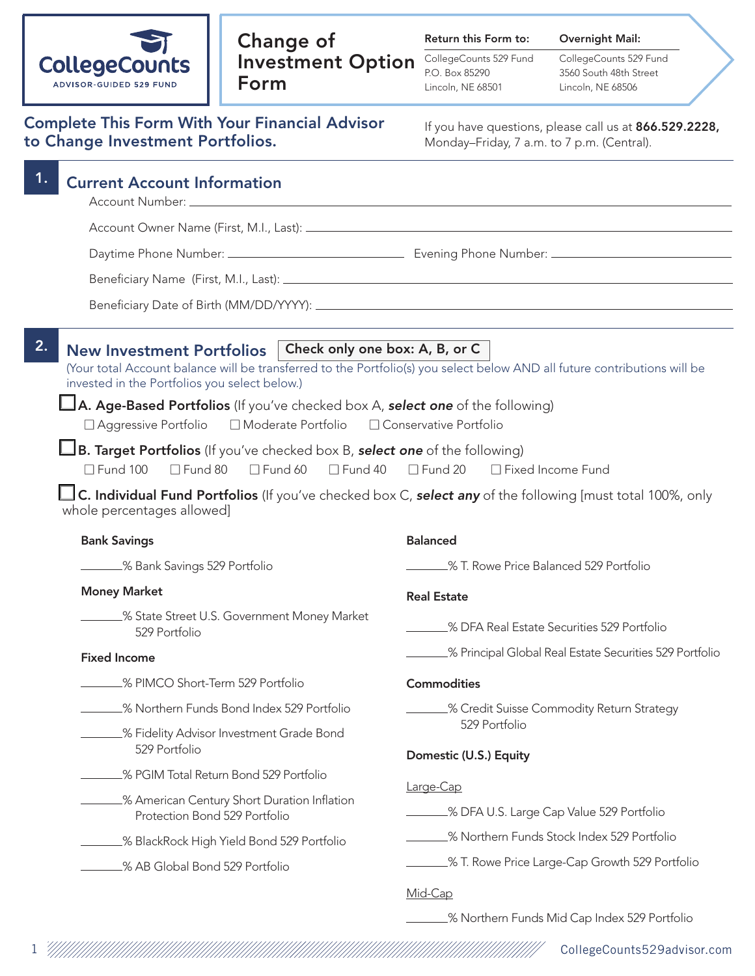| <b>CollegeCounts</b>    |
|-------------------------|
| ADVISOR-GUIDED 529 FUND |

## Change of Investment Option Form

Return this Form to:

CollegeCounts 529 Fund P.O. Box 85290 Lincoln, NE 68501

Overnight Mail: CollegeCounts 529 Fund 3560 South 48th Street Lincoln, NE 68506

|  |                                  |  | <b>Complete This Form With Your Financial Advisor</b> |  |
|--|----------------------------------|--|-------------------------------------------------------|--|
|  | to Change Investment Portfolios. |  |                                                       |  |

If you have questions, please call us at 866.529.2228, Monday–Friday, 7 a.m. to 7 p.m. (Central).

| 1. | <b>Current Account Information</b>                                                                                                                                                                                                                                                                                                                |                                                                                                                                                            |  |  |
|----|---------------------------------------------------------------------------------------------------------------------------------------------------------------------------------------------------------------------------------------------------------------------------------------------------------------------------------------------------|------------------------------------------------------------------------------------------------------------------------------------------------------------|--|--|
|    |                                                                                                                                                                                                                                                                                                                                                   |                                                                                                                                                            |  |  |
|    |                                                                                                                                                                                                                                                                                                                                                   |                                                                                                                                                            |  |  |
|    |                                                                                                                                                                                                                                                                                                                                                   |                                                                                                                                                            |  |  |
|    |                                                                                                                                                                                                                                                                                                                                                   |                                                                                                                                                            |  |  |
| 2. | Check only one box: A, B, or C<br><b>New Investment Portfolios</b><br>(Your total Account balance will be transferred to the Portfolio(s) you select below AND all future contributions will be<br>invested in the Portfolios you select below.)<br><b>LA. Age-Based Portfolios</b> (If you've checked box A, <b>select one</b> of the following) |                                                                                                                                                            |  |  |
|    | □ Moderate Portfolio<br>$\Box$ Aggressive Portfolio                                                                                                                                                                                                                                                                                               | □ Conservative Portfolio                                                                                                                                   |  |  |
|    | B. Target Portfolios (If you've checked box B, select one of the following)<br>$\Box$ Fund 100<br>$\Box$ Fund 80<br>$\Box$ Fund 60<br>$\Box$ Fund 40<br>whole percentages allowed]                                                                                                                                                                | $\Box$ Fund 20<br>□ Fixed Income Fund<br>$\Box$ C. Individual Fund Portfolios (If you've checked box C, select any of the following [must total 100%, only |  |  |
|    | <b>Bank Savings</b>                                                                                                                                                                                                                                                                                                                               | <b>Balanced</b>                                                                                                                                            |  |  |
|    | ______% Bank Savings 529 Portfolio                                                                                                                                                                                                                                                                                                                | _% T. Rowe Price Balanced 529 Portfolio                                                                                                                    |  |  |
|    | <b>Money Market</b>                                                                                                                                                                                                                                                                                                                               | <b>Real Estate</b>                                                                                                                                         |  |  |
|    | _% State Street U.S. Government Money Market<br>529 Portfolio                                                                                                                                                                                                                                                                                     | <b>SALE SECUTE:</b> Securities 529 Portfolio                                                                                                               |  |  |
|    | <b>Fixed Income</b>                                                                                                                                                                                                                                                                                                                               | _% Principal Global Real Estate Securities 529 Portfolio                                                                                                   |  |  |
|    | % PIMCO Short-Term 529 Portfolio                                                                                                                                                                                                                                                                                                                  | <b>Commodities</b>                                                                                                                                         |  |  |
|    | 8 Northern Funds Bond Index 529 Portfolio                                                                                                                                                                                                                                                                                                         | _% Credit Suisse Commodity Return Strategy                                                                                                                 |  |  |
|    | % Fidelity Advisor Investment Grade Bond<br>529 Portfolio                                                                                                                                                                                                                                                                                         | 529 Portfolio<br>Domestic (U.S.) Equity                                                                                                                    |  |  |
|    | _% PGIM Total Return Bond 529 Portfolio                                                                                                                                                                                                                                                                                                           |                                                                                                                                                            |  |  |
|    | % American Century Short Duration Inflation<br>Protection Bond 529 Portfolio                                                                                                                                                                                                                                                                      | Large-Cap<br>_% DFA U.S. Large Cap Value 529 Portfolio                                                                                                     |  |  |
|    | _% BlackRock High Yield Bond 529 Portfolio                                                                                                                                                                                                                                                                                                        | % Northern Funds Stock Index 529 Portfolio                                                                                                                 |  |  |
|    | _% AB Global Bond 529 Portfolio                                                                                                                                                                                                                                                                                                                   | _% T. Rowe Price Large-Cap Growth 529 Portfolio                                                                                                            |  |  |
|    |                                                                                                                                                                                                                                                                                                                                                   | Mid-Cap                                                                                                                                                    |  |  |

% Northern Funds Mid Cap Index 529 Portfolio

1 CollegeCounts529advisor.com